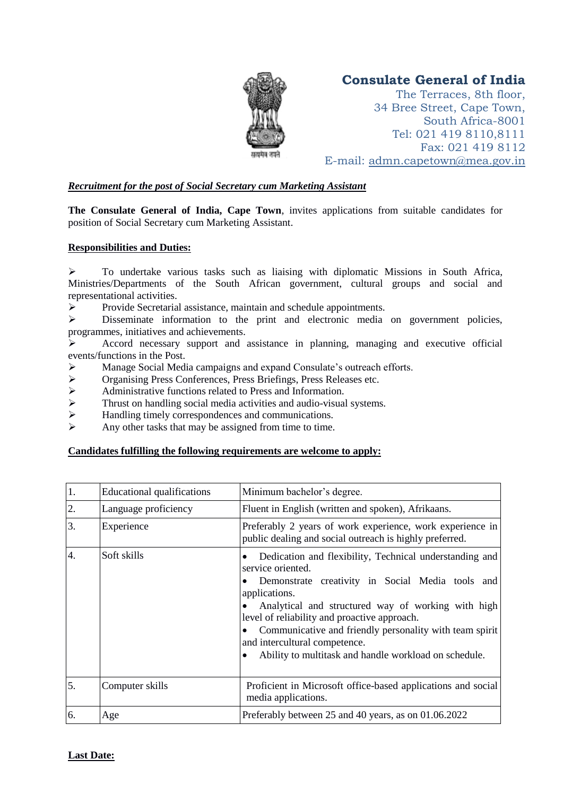

# **Consulate General of India**

The Terraces, 8th floor, 34 Bree Street, Cape Town, South Africa-8001 Tel: 021 419 8110,8111 Fax: 021 419 8112 E-mail: adm[n.capetown@mea.gov.in](mailto:admin@hcict.org.za)

## *Recruitment for the post of Social Secretary cum Marketing Assistant*

**The Consulate General of India, Cape Town**, invites applications from suitable candidates for position of Social Secretary cum Marketing Assistant.

## **Responsibilities and Duties:**

 $\triangleright$  To undertake various tasks such as liaising with diplomatic Missions in South Africa, Ministries/Departments of the South African government, cultural groups and social and representational activities.

 $\triangleright$  Provide Secretarial assistance, maintain and schedule appointments.

 $\triangleright$  Disseminate information to the print and electronic media on government policies, programmes, initiatives and achievements.

 Accord necessary support and assistance in planning, managing and executive official events/functions in the Post.

- Manage Social Media campaigns and expand Consulate's outreach efforts.
- Organising Press Conferences, Press Briefings, Press Releases etc.
- Administrative functions related to Press and Information.<br>  $\triangleright$  Thrust on handling social media activities and audio-visual
- Thrust on handling social media activities and audio-visual systems.
- $\triangleright$  Handling timely correspondences and communications.
- $\triangleright$  Any other tasks that may be assigned from time to time.

#### **Candidates fulfilling the following requirements are welcome to apply:**

| 1. | <b>Educational qualifications</b> | Minimum bachelor's degree.                                                                                                                                                                                                                                                                                                                                                                                   |
|----|-----------------------------------|--------------------------------------------------------------------------------------------------------------------------------------------------------------------------------------------------------------------------------------------------------------------------------------------------------------------------------------------------------------------------------------------------------------|
| 2. | Language proficiency              | Fluent in English (written and spoken), Afrikaans.                                                                                                                                                                                                                                                                                                                                                           |
| 3. | Experience                        | Preferably 2 years of work experience, work experience in<br>public dealing and social outreach is highly preferred.                                                                                                                                                                                                                                                                                         |
| 4. | Soft skills                       | Dedication and flexibility, Technical understanding and<br>service oriented.<br>Demonstrate creativity in Social Media tools and<br>applications.<br>Analytical and structured way of working with high<br>level of reliability and proactive approach.<br>Communicative and friendly personality with team spirit<br>and intercultural competence.<br>Ability to multitask and handle workload on schedule. |
| 5. | Computer skills                   | Proficient in Microsoft office-based applications and social<br>media applications.                                                                                                                                                                                                                                                                                                                          |
| 6. | Age                               | Preferably between 25 and 40 years, as on 01.06.2022                                                                                                                                                                                                                                                                                                                                                         |